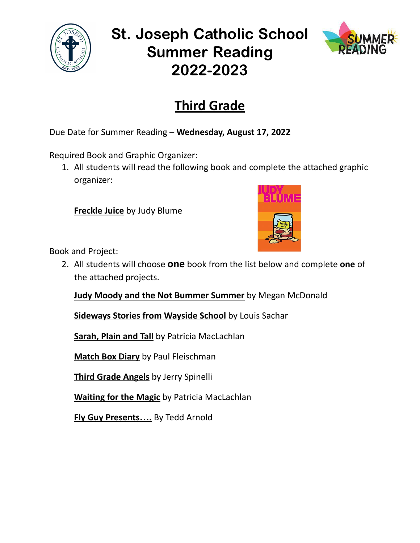

## St. Joseph Catholic School Summer Reading 2022-2023



## **Third Grade**

Due Date for Summer Reading – **Wednesday, August 17, 2022**

Required Book and Graphic Organizer:

1. All students will read the following book and complete the attached graphic organizer:

**Freckle Juice** by Judy Blume



Book and Project:

2. All students will choose **one** book from the list below and complete **one** of the attached projects.

**Judy Moody and the Not Bummer Summer** by Megan McDonald

**Sideways Stories from Wayside School** by Louis Sachar

**Sarah, Plain and Tall** by Patricia MacLachlan

**Match Box Diary** by Paul Fleischman

**Third Grade Angels** by Jerry Spinelli

**Waiting for the Magic** by Patricia MacLachlan

**Fly Guy Presents….** By Tedd Arnold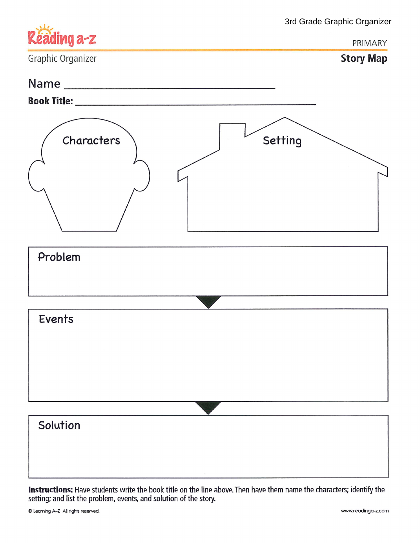|                   | 3rd Grade Graphic Organizer |
|-------------------|-----------------------------|
| Réading a-z       | PRIMARY                     |
| Graphic Organizer | <b>Story Map</b>            |
|                   |                             |
|                   |                             |
| Characters        | Setting                     |
| Problem           |                             |
|                   |                             |
|                   |                             |
| Events            |                             |
|                   |                             |
|                   |                             |
|                   |                             |
|                   |                             |
| Solution          |                             |
|                   |                             |
|                   |                             |

Instructions: Have students write the book title on the line above. Then have them name the characters; identify the setting; and list the problem, events, and solution of the story.